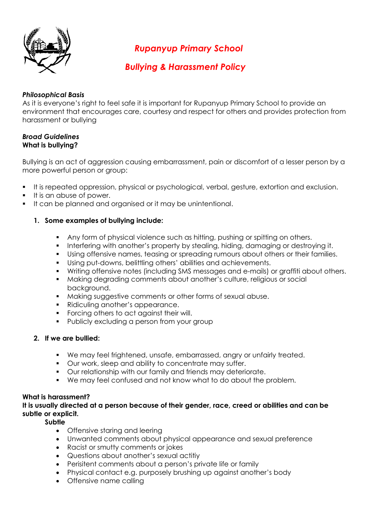

*Rupanyup Primary School* 

*Bullying & Harassment Policy*

# *Philosophical Basis*

As it is everyone's right to feel safe it is important for Rupanyup Primary School to provide an environment that encourages care, courtesy and respect for others and provides protection from harassment or bullying

#### *Broad Guidelines*  **What is bullying?**

Bullying is an act of aggression causing embarrassment, pain or discomfort of a lesser person by a more powerful person or group:

- It is repeated oppression, physical or psychological, verbal, gesture, extortion and exclusion.
- It is an abuse of power.
- It can be planned and organised or it may be unintentional.

# **1. Some examples of bullying include:**

- Any form of physical violence such as hitting, pushing or spitting on others.
- Interfering with another's property by stealing, hiding, damaging or destroying it.
- Using offensive names, teasing or spreading rumours about others or their families.
- Using put-downs, belittling others' abilities and achievements.
- Writing offensive notes (including SMS messages and e-mails) or graffiti about others.
- Making degrading comments about another's culture, religious or social background.
- Making suggestive comments or other forms of sexual abuse.
- Ridiculing another's appearance.
- **Forcing others to act against their will.**
- **Publicly excluding a person from your group**

## **2. If we are bullied:**

- We may feel frightened, unsafe, embarrassed, angry or unfairly treated.
- **•** Our work, sleep and ability to concentrate may suffer.
- Our relationship with our family and friends may deteriorate.
- We may feel confused and not know what to do about the problem.

## **What is harassment?**

**It is usually directed at a person because of their gender, race, creed or abilities and can be subtle or explicit.** 

**Subtle** 

- Offensive staring and leering
- Unwanted comments about physical appearance and sexual preference
- Racist or smutty comments or jokes
- Questions about another's sexual actitiy
- Perisitent comments about a person's private life or family
- Physical contact e.g. purposely brushing up against another's body
- Offensive name calling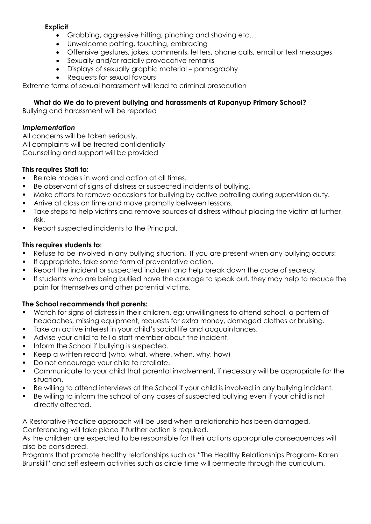## **Explicit**

- Grabbing, aggressive hitting, pinching and shoving etc…
- Unwelcome patting, touching, embracing
- Offensive gestures, jokes, comments, letters, phone calls, email or text messages
- Sexually and/or racially provocative remarks
- Displays of sexually graphic material pornography
- Requests for sexual favours

Extreme forms of sexual harassment will lead to criminal prosecution

# **What do We do to prevent bullying and harassments at Rupanyup Primary School?**

Bullying and harassment will be reported

# *Implementation*

All concerns will be taken seriously. All complaints will be treated confidentially Counselling and support will be provided

# **This requires Staff to:**

- Be role models in word and action at all times.
- Be observant of signs of distress or suspected incidents of bullying.
- Make efforts to remove occasions for bullying by active patrolling during supervision duty.
- **Arrive at class on time and move promptly between lessons.**
- **Take steps to help victims and remove sources of distress without placing the victim at further** risk.
- **Report suspected incidents to the Principal.**

# **This requires students to:**

- Refuse to be involved in any bullying situation. If you are present when any bullying occurs:
- If appropriate, take some form of preventative action.
- Report the incident or suspected incident and help break down the code of secrecy.
- If students who are being bullied have the courage to speak out, they may help to reduce the pain for themselves and other potential victims.

# **The School recommends that parents:**

- Watch for signs of distress in their children, eg: unwillingness to attend school, a pattern of headaches, missing equipment, requests for extra money, damaged clothes or bruising.
- Take an active interest in your child's social life and acquaintances.
- Advise your child to tell a staff member about the incident.
- Inform the School if bullying is suspected.
- Keep a written record (who, what, where, when, why, how)
- Do not encourage your child to retaliate.
- Communicate to your child that parental involvement, if necessary will be appropriate for the situation.
- Be willing to attend interviews at the School if your child is involved in any bullying incident.
- Be willing to inform the school of any cases of suspected bullying even if your child is not directly affected.

A Restorative Practice approach will be used when a relationship has been damaged. Conferencing will take place if further action is required.

As the children are expected to be responsible for their actions appropriate consequences will also be considered.

Programs that promote healthy relationships such as "The Healthy Relationships Program- Karen Brunskill" and self esteem activities such as circle time will permeate through the curriculum.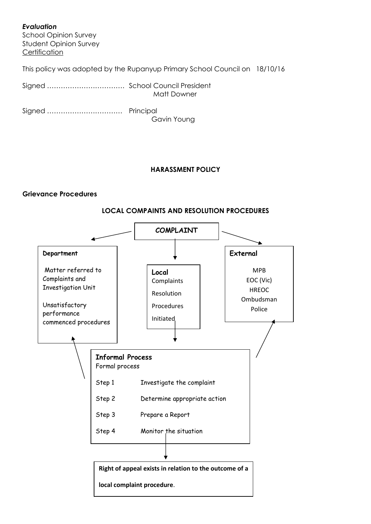## *Evaluation*

School Opinion Survey Student Opinion Survey **Certification** 

This policy was adopted by the Rupanyup Primary School Council on 18/10/16

| Matt Downer |
|-------------|

Signed …………………………… Principal Gavin Young

## **HARASSMENT POLICY**

#### **Grievance Procedures**



#### **LOCAL COMPAINTS AND RESOLUTION PROCEDURES**